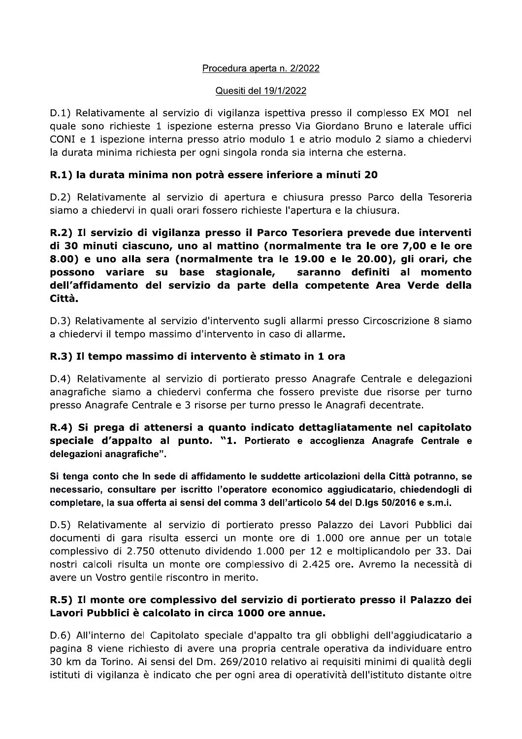### Procedura aperta n. 2/2022

#### Quesiti del 19/1/2022

D.1) Relativamente al servizio di vigilanza ispettiva presso il complesso EX MOI nel quale sono richieste 1 ispezione esterna presso Via Giordano Bruno e laterale uffici CONI e 1 ispezione interna presso atrio modulo 1 e atrio modulo 2 siamo a chiedervi la durata minima richiesta per ogni singola ronda sia interna che esterna.

# R.1) la durata minima non potrà essere inferiore a minuti 20

D.2) Relativamente al servizio di apertura e chiusura presso Parco della Tesoreria siamo a chiedervi in quali orari fossero richieste l'apertura e la chiusura.

R.2) Il servizio di vigilanza presso il Parco Tesoriera prevede due interventi di 30 minuti ciascuno, uno al mattino (normalmente tra le ore 7,00 e le ore 8.00) e uno alla sera (normalmente tra le 19.00 e le 20.00), gli orari, che possono variare su base stagionale, saranno definiti al momento dell'affidamento del servizio da parte della competente Area Verde della Città.

D.3) Relativamente al servizio d'intervento sugli allarmi presso Circoscrizione 8 siamo a chiedervi il tempo massimo d'intervento in caso di allarme.

# R.3) Il tempo massimo di intervento è stimato in 1 ora

D.4) Relativamente al servizio di portierato presso Anagrafe Centrale e delegazioni anagrafiche siamo a chiedervi conferma che fossero previste due risorse per turno presso Anagrafe Centrale e 3 risorse per turno presso le Anagrafi decentrate.

# R.4) Si prega di attenersi a quanto indicato dettagliatamente nel capitolato speciale d'appalto al punto. "1. Portierato e accoglienza Anagrafe Centrale e delegazioni anagrafiche".

Si tenga conto che ln sede di affidamento le suddette articolazioni della Città potranno, se necessario, consultare per iscritto l'operatore economico aggiudicatario, chiedendogli di completare, la sua offerta ai sensi del comma 3 dell'articolo 54 del D.lgs 50/2016 e s.m.i.

D.5) Relativamente al servizio di portierato presso Palazzo dei Lavori Pubblici dai documenti di gara risulta esserci un monte ore di 1.000 ore annue per un totale complessivo di 2.750 ottenuto dividendo 1.000 per 12 e moltiplicandolo per 33. Dai nostri calcoli risulta un monte ore complessivo di 2.425 ore. Avremo la necessità di avere un Vostro gentile riscontro in merito.

# R.5) Il monte ore complessivo del servizio di portierato presso il Palazzo dei Lavori Pubblici è calcolato in circa 1000 ore annue.

D.6) All'interno del Capitolato speciale d'appalto tra gli obblighi dell'aggiudicatario a pagina 8 viene richiesto di avere una propria centrale operativa da individuare entro 30 km da Torino. Ai sensi del Dm. 269/2010 relativo ai requisiti minimi di qualità degli istituti di vigilanza è indicato che per ogni area di operatività dell'istituto distante oltre